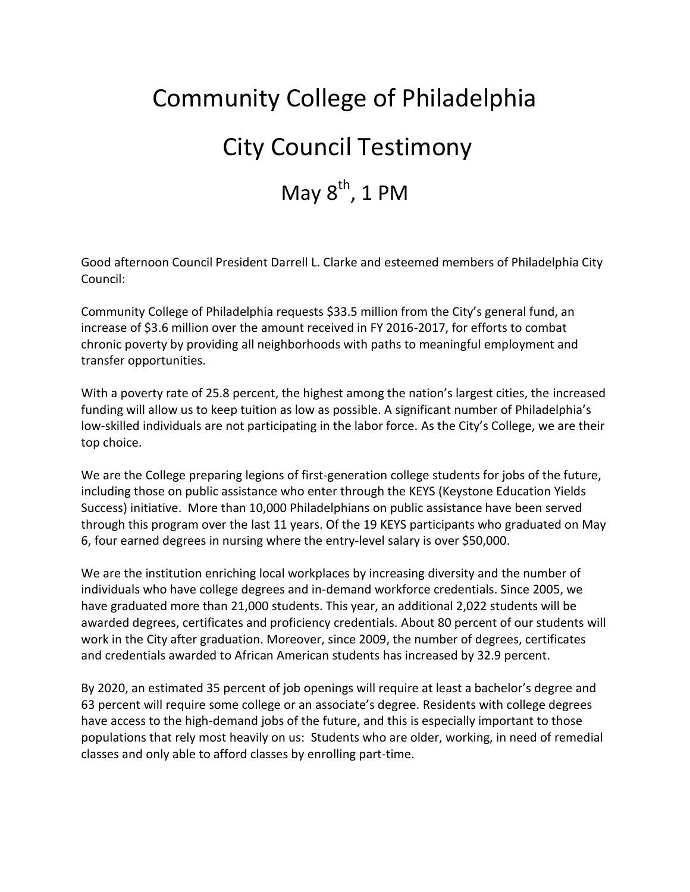# Community College of Philadelphia City Council Testimony May  $8<sup>th</sup>$ , 1 PM

Good afternoon Council President Darrell L. Clarke and esteemed members of Philadelphia City Council:

Community College of Philadelphia requests \$33.5 million from the City's general fund, an increase of \$3.6 million over the amount received in FY 2016-2017, for efforts to combat chronic poverty by providing all neighborhoods with paths to meaningful employment and transfer opportunities.

With a poverty rate of 25.8 percent, the highest among the nation's largest cities, the increased funding will allow us to keep tuition as low as possible. A significant number of Philadelphia's low-skilled individuals are not participating in the labor force. As the City's College, we are their top choice.

We are the College preparing legions of first-generation college students for jobs of the future, including those on public assistance who enter through the KEYS (Keystone Education Yields Success) initiative. More than 10,000 Philadelphians on public assistance have been served through this program over the last 11 years. Of the 19 KEYS participants who graduated on May 6, four earned degrees in nursing where the entry-level salary is over \$50,000.

We are the institution enriching local workplaces by increasing diversity and the number of individuals who have college degrees and in-demand workforce credentials. Since 2005, we have graduated more than 21,000 students. This year, an additional 2,022 students will be awarded degrees, certificates and proficiency credentials. About 80 percent of our students will work in the City after graduation. Moreover, since 2009, the number of degrees, certificates and credentials awarded to African American students has increased by 32.9 percent.

By 2020, an estimated 35 percent of job openings will require at least a bachelor's degree and 63 percent will require some college or an associate's degree. Residents with college degrees have access to the high-demand jobs of the future, and this is especially important to those populations that rely most heavily on us: Students who are older, working, in need of remedial classes and only able to afford classes by enrolling part-time.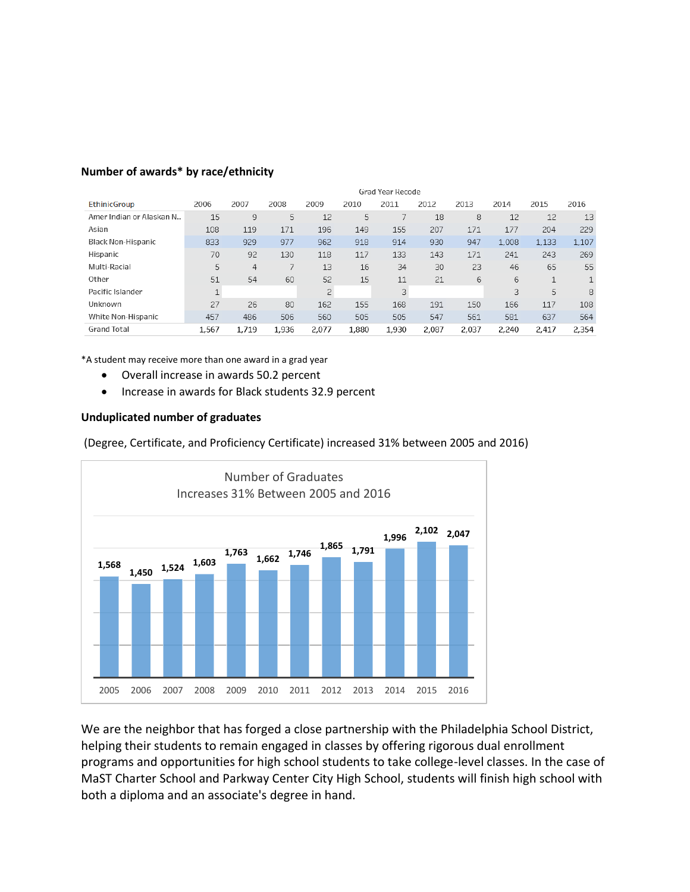|                            | Grad Year Recode |       |       |                |       |       |       |       |       |              |       |
|----------------------------|------------------|-------|-------|----------------|-------|-------|-------|-------|-------|--------------|-------|
| <b>EthinicGroup</b>        | 2006             | 2007  | 2008  | 2009           | 2010  | 2011  | 2012  | 2013  | 2014  | 2015         | 2016  |
| Amer Indian or Alaskan N., | 15               | 9     | 5     | 12             | 5     |       | 18    | 8     | 12    | 12           | 13    |
| Asian                      | 108              | 119   | 171   | 196            | 149   | 155   | 207   | 171   | 177   | 204          | 229   |
| <b>Black Non-Hispanic</b>  | 833              | 929   | 977   | 962            | 918   | 914   | 930   | 947   | 1,008 | 1,133        | 1,107 |
| Hispanic                   | 70               | 92    | 130   | 118            | 117   | 133   | 143   | 171   | 241   | 243          | 269   |
| Multi-Racial               | 5                | 4     |       | 13             | 16    | 34    | 30    | 23    | 46    | 65           | 55    |
| Other                      | 51               | 54    | 60    | 52             | 15    | 11    | 21    | 6     | 6     | $\mathbf{1}$ | 1     |
| Pacific Islander           |                  |       |       | $\overline{2}$ |       | 3     |       |       | 3     | 5            | 8     |
| Unknown                    | 27               | 26    | 80    | 162            | 155   | 168   | 191   | 150   | 166   | 117          | 108   |
| White Non-Hispanic         | 457              | 486   | 506   | 560            | 505   | 505   | 547   | 561   | 581   | 637          | 564   |
| <b>Grand Total</b>         | 1,567            | 1,719 | 1,936 | 2,077          | 1,880 | 1,930 | 2,087 | 2,037 | 2,240 | 2,417        | 2,354 |

#### **Number of awards\* by race/ethnicity**

\*A student may receive more than one award in a grad year

- Overall increase in awards 50.2 percent
- Increase in awards for Black students 32.9 percent

#### **Unduplicated number of graduates**

(Degree, Certificate, and Proficiency Certificate) increased 31% between 2005 and 2016)



We are the neighbor that has forged a close partnership with the Philadelphia School District, helping their students to remain engaged in classes by offering rigorous dual enrollment programs and opportunities for high school students to take college-level classes. In the case of MaST Charter School and Parkway Center City High School, students will finish high school with both a diploma and an associate's degree in hand.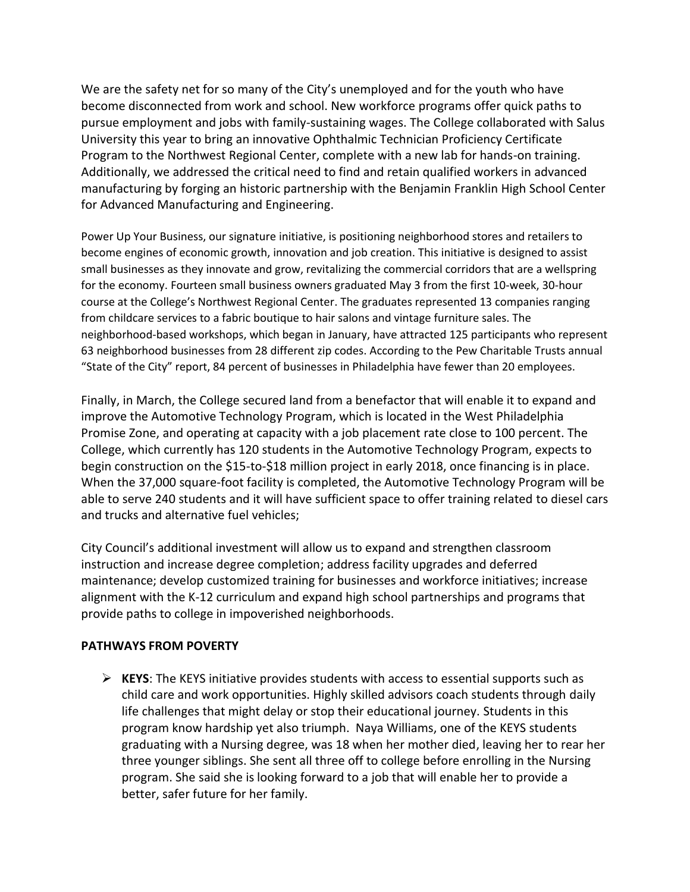We are the safety net for so many of the City's unemployed and for the youth who have become disconnected from work and school. New workforce programs offer quick paths to pursue employment and jobs with family-sustaining wages. The College collaborated with Salus University this year to bring an innovative Ophthalmic Technician Proficiency Certificate Program to the Northwest Regional Center, complete with a new lab for hands-on training. Additionally, we addressed the critical need to find and retain qualified workers in advanced manufacturing by forging an historic partnership with the Benjamin Franklin High School Center for Advanced Manufacturing and Engineering.

Power Up Your Business, our signature initiative, is positioning neighborhood stores and retailers to become engines of economic growth, innovation and job creation. This initiative is designed to assist small businesses as they innovate and grow, revitalizing the commercial corridors that are a wellspring for the economy. Fourteen small business owners graduated May 3 from the first 10-week, 30-hour course at the College's Northwest Regional Center. The graduates represented 13 companies ranging from childcare services to a fabric boutique to hair salons and vintage furniture sales. The neighborhood-based workshops, which began in January, have attracted 125 participants who represent 63 neighborhood businesses from 28 different zip codes. According to the Pew Charitable Trusts annual "State of the City" report, 84 percent of businesses in Philadelphia have fewer than 20 employees.

Finally, in March, the College secured land from a benefactor that will enable it to expand and improve the Automotive Technology Program, which is located in the West Philadelphia Promise Zone, and operating at capacity with a job placement rate close to 100 percent. The College, which currently has 120 students in the Automotive Technology Program, expects to begin construction on the \$15-to-\$18 million project in early 2018, once financing is in place. When the 37,000 square-foot facility is completed, the Automotive Technology Program will be able to serve 240 students and it will have sufficient space to offer training related to diesel cars and trucks and alternative fuel vehicles;

City Council's additional investment will allow us to expand and strengthen classroom instruction and increase degree completion; address facility upgrades and deferred maintenance; develop customized training for businesses and workforce initiatives; increase alignment with the K-12 curriculum and expand high school partnerships and programs that provide paths to college in impoverished neighborhoods.

# **PATHWAYS FROM POVERTY**

 **KEYS**: The KEYS initiative provides students with access to essential supports such as child care and work opportunities. Highly skilled advisors coach students through daily life challenges that might delay or stop their educational journey. Students in this program know hardship yet also triumph. Naya Williams, one of the KEYS students graduating with a Nursing degree, was 18 when her mother died, leaving her to rear her three younger siblings. She sent all three off to college before enrolling in the Nursing program. She said she is looking forward to a job that will enable her to provide a better, safer future for her family.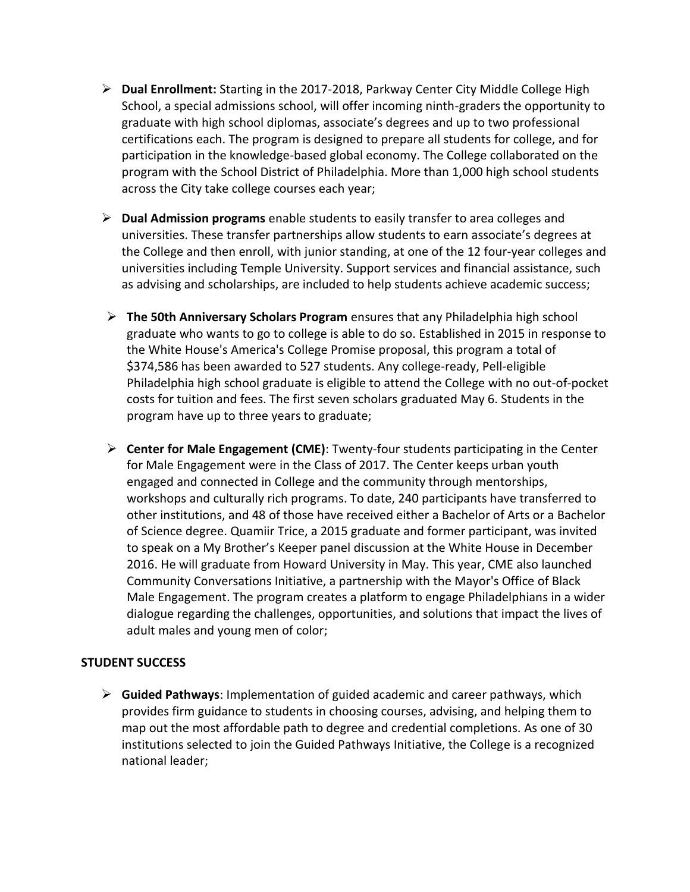- **Dual Enrollment:** Starting in the 2017-2018, Parkway Center City Middle College High School, a special admissions school, will offer incoming ninth-graders the opportunity to graduate with high school diplomas, associate's degrees and up to two professional certifications each. The program is designed to prepare all students for college, and for participation in the knowledge-based global economy. The College collaborated on the program with the School District of Philadelphia. More than 1,000 high school students across the City take college courses each year;
- **Dual Admission programs** enable students to easily transfer to area colleges and universities. These transfer partnerships allow students to earn associate's degrees at the College and then enroll, with junior standing, at one of the 12 four-year colleges and universities including Temple University. Support services and financial assistance, such as advising and scholarships, are included to help students achieve academic success;
- **The 50th Anniversary Scholars Program** ensures that any Philadelphia high school graduate who wants to go to college is able to do so. Established in 2015 in response to the White House's America's College Promise proposal, this program a total of \$374,586 has been awarded to 527 students. Any college-ready, Pell-eligible Philadelphia high school graduate is eligible to attend the College with no out-of-pocket costs for tuition and fees. The first seven scholars graduated May 6. Students in the program have up to three years to graduate;
- **Center for Male Engagement (CME)**: Twenty-four students participating in the Center for Male Engagement were in the Class of 2017. The Center keeps urban youth engaged and connected in College and the community through mentorships, workshops and culturally rich programs. To date, 240 participants have transferred to other institutions, and 48 of those have received either a Bachelor of Arts or a Bachelor of Science degree. Quamiir Trice, a 2015 graduate and former participant, was invited to speak on a My Brother's Keeper panel discussion at the White House in December 2016. He will graduate from Howard University in May. This year, CME also launched Community Conversations Initiative, a partnership with the Mayor's Office of Black Male Engagement. The program creates a platform to engage Philadelphians in a wider dialogue regarding the challenges, opportunities, and solutions that impact the lives of adult males and young men of color;

### **STUDENT SUCCESS**

 **Guided Pathways**: Implementation of guided academic and career pathways, which provides firm guidance to students in choosing courses, advising, and helping them to map out the most affordable path to degree and credential completions. As one of 30 institutions selected to join the Guided Pathways Initiative, the College is a recognized national leader;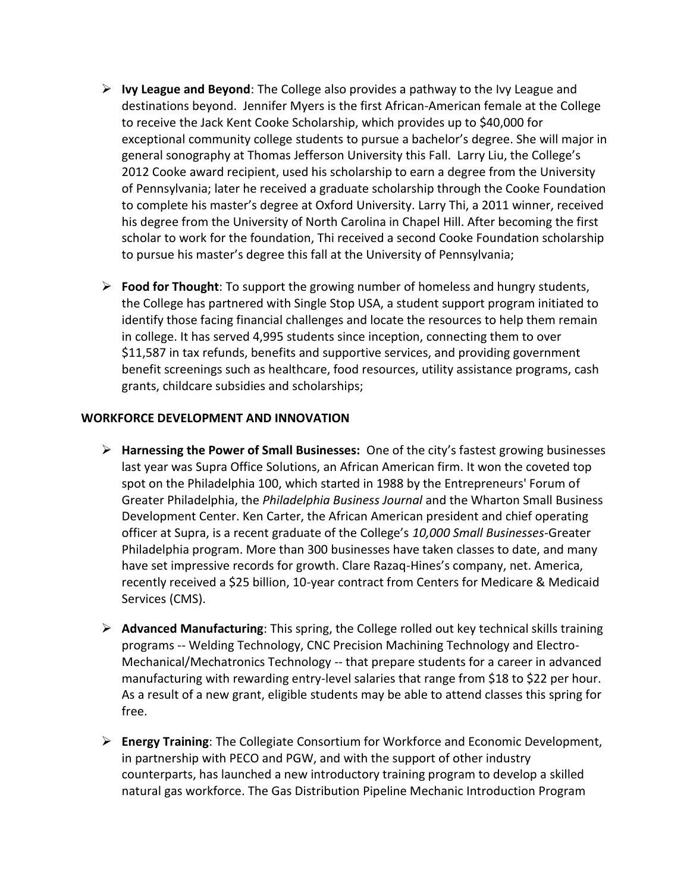- **Ivy League and Beyond**: The College also provides a pathway to the Ivy League and destinations beyond. Jennifer Myers is the first African-American female at the College to receive the Jack Kent Cooke Scholarship, which provides up to \$40,000 for exceptional community college students to pursue a bachelor's degree. She will major in general sonography at Thomas Jefferson University this Fall. Larry Liu, the College's 2012 Cooke award recipient, used his scholarship to earn a degree from the University of Pennsylvania; later he received a graduate scholarship through the Cooke Foundation to complete his master's degree at Oxford University. Larry Thi, a 2011 winner, received his degree from the University of North Carolina in Chapel Hill. After becoming the first scholar to work for the foundation, Thi received a second Cooke Foundation scholarship to pursue his master's degree this fall at the University of Pennsylvania;
- **Food for Thought**: To support the growing number of homeless and hungry students, the College has partnered with Single Stop USA, a student support program initiated to identify those facing financial challenges and locate the resources to help them remain in college. It has served 4,995 students since inception, connecting them to over \$11,587 in tax refunds, benefits and supportive services, and providing government benefit screenings such as healthcare, food resources, utility assistance programs, cash grants, childcare subsidies and scholarships;

## **WORKFORCE DEVELOPMENT AND INNOVATION**

- **Harnessing the Power of Small Businesses:** One of the city's fastest growing businesses last year was Supra Office Solutions, an African American firm. It won the coveted top spot on the Philadelphia 100, which started in 1988 by the Entrepreneurs' Forum of Greater Philadelphia, the *Philadelphia Business Journal* and the Wharton Small Business Development Center. Ken Carter, the African American president and chief operating officer at Supra, is a recent graduate of the College's *10,000 Small Businesses*-Greater Philadelphia program. More than 300 businesses have taken classes to date, and many have set impressive records for growth. Clare Razaq-Hines's company, net. America, recently received a \$25 billion, 10-year contract from Centers for Medicare & Medicaid Services (CMS).
- **Advanced Manufacturing**: This spring, the College rolled out key technical skills training programs -- Welding Technology, CNC Precision Machining Technology and Electro-Mechanical/Mechatronics Technology -- that prepare students for a career in advanced manufacturing with rewarding entry-level salaries that range from \$18 to \$22 per hour. As a result of a new grant, eligible students may be able to attend classes this spring for free.
- **Energy Training**: The Collegiate Consortium for Workforce and Economic Development, in partnership with PECO and PGW, and with the support of other industry counterparts, has launched a new introductory training program to develop a skilled natural gas workforce. The Gas Distribution Pipeline Mechanic Introduction Program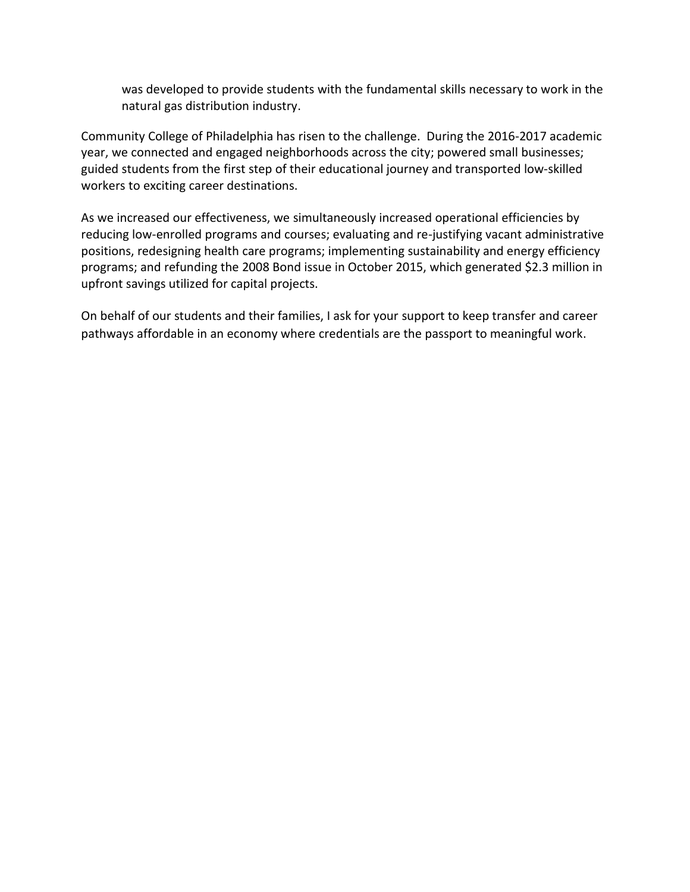was developed to provide students with the fundamental skills necessary to work in the natural gas distribution industry.

Community College of Philadelphia has risen to the challenge. During the 2016-2017 academic year, we connected and engaged neighborhoods across the city; powered small businesses; guided students from the first step of their educational journey and transported low-skilled workers to exciting career destinations.

As we increased our effectiveness, we simultaneously increased operational efficiencies by reducing low-enrolled programs and courses; evaluating and re-justifying vacant administrative positions, redesigning health care programs; implementing sustainability and energy efficiency programs; and refunding the 2008 Bond issue in October 2015, which generated \$2.3 million in upfront savings utilized for capital projects.

On behalf of our students and their families, I ask for your support to keep transfer and career pathways affordable in an economy where credentials are the passport to meaningful work.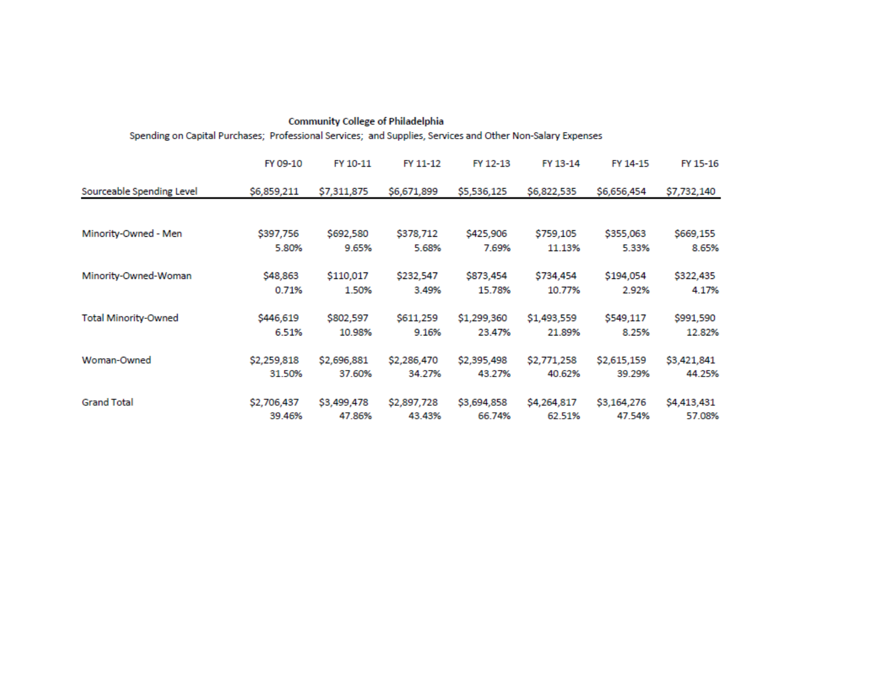| Spending on Capital Purchases; Professional Services; and Supplies, Services and Other Non-Salary Expenses |             |             |             |             |             |             |             |  |  |
|------------------------------------------------------------------------------------------------------------|-------------|-------------|-------------|-------------|-------------|-------------|-------------|--|--|
|                                                                                                            | FY 09-10    | FY 10-11    | FY 11-12    | FY 12-13    | FY 13-14    | FY 14-15    | FY 15-16    |  |  |
| Sourceable Spending Level                                                                                  | \$6,859,211 | \$7,311,875 | \$6,671,899 | \$5,536,125 | \$6,822,535 | \$6,656,454 | \$7,732,140 |  |  |
| Minority-Owned - Men                                                                                       | \$397,756   | \$692,580   | \$378,712   | \$425,906   | \$759,105   | \$355,063   | \$669,155   |  |  |
|                                                                                                            | 5.80%       | 9.65%       | 5.68%       | 7.69%       | 11.13%      | 5.33%       | 8.65%       |  |  |
| Minority-Owned-Woman                                                                                       | \$48,863    | \$110,017   | \$232,547   | \$873,454   | \$734,454   | \$194,054   | \$322,435   |  |  |
|                                                                                                            | 0.71%       | 1.50%       | 3.49%       | 15.78%      | 10.77%      | 2.92%       | 4.17%       |  |  |
| <b>Total Minority-Owned</b>                                                                                | \$446,619   | \$802,597   | \$611,259   | \$1,299,360 | \$1,493,559 | \$549,117   | \$991,590   |  |  |
|                                                                                                            | 6.51%       | 10.98%      | 9.16%       | 23.47%      | 21.89%      | 8.25%       | 12.82%      |  |  |
| Woman-Owned                                                                                                | \$2,259,818 | \$2,696,881 | \$2,286,470 | \$2,395,498 | \$2,771,258 | \$2,615,159 | \$3,421,841 |  |  |
|                                                                                                            | 31.50%      | 37.60%      | 34.27%      | 43.27%      | 40.62%      | 39.29%      | 44.25%      |  |  |
| <b>Grand Total</b>                                                                                         | \$2,706,437 | \$3,499,478 | \$2,897,728 | \$3,694,858 | \$4,264,817 | \$3,164,276 | \$4,413,431 |  |  |
|                                                                                                            | 39.46%      | 47.86%      | 43.43%      | 66.74%      | 62.51%      | 47.54%      | 57.08%      |  |  |

**Community College of Philadelphia**